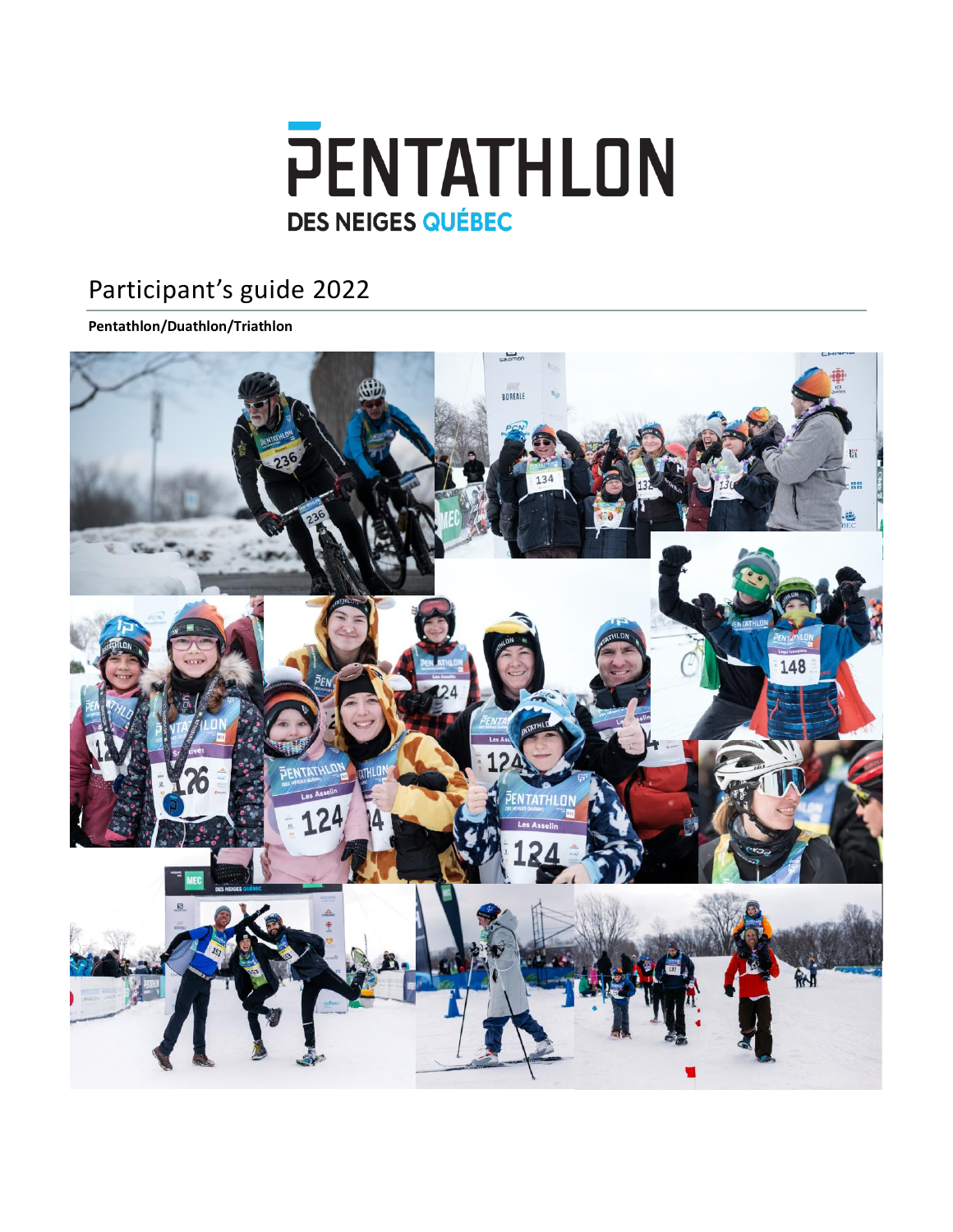

# Participant's guide 2022

#### **Pentathlon/Duathlon/Triathlon**

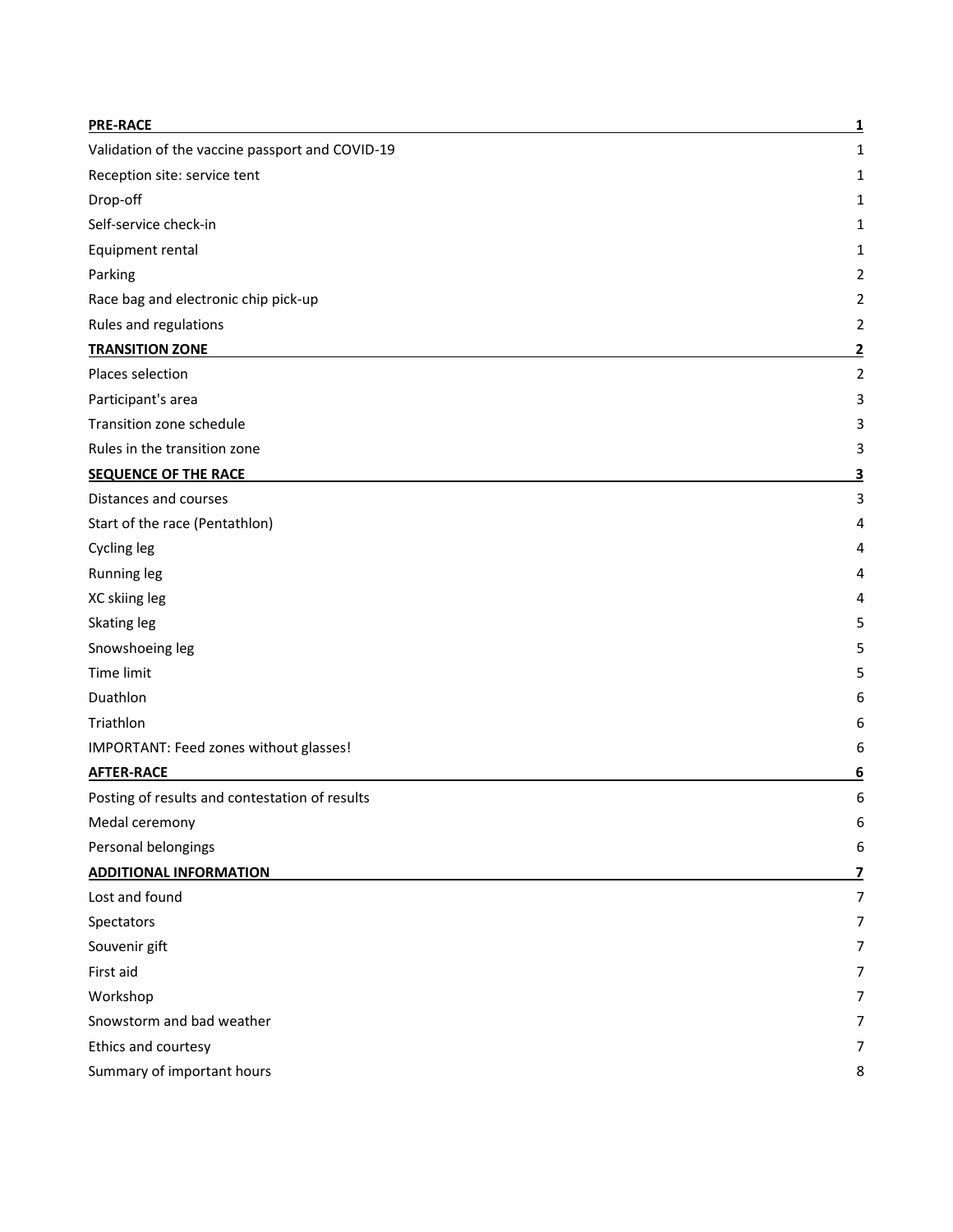| <b>PRE-RACE</b>                                 | 1              |
|-------------------------------------------------|----------------|
| Validation of the vaccine passport and COVID-19 | 1              |
| Reception site: service tent                    | 1              |
| Drop-off                                        | 1              |
| Self-service check-in                           | 1              |
| Equipment rental                                | 1              |
| Parking                                         | 2              |
| Race bag and electronic chip pick-up            | 2              |
| Rules and regulations                           | 2              |
| <b>TRANSITION ZONE</b>                          | <u>2</u>       |
| Places selection                                | $\overline{2}$ |
| Participant's area                              | 3              |
| Transition zone schedule                        | 3              |
| Rules in the transition zone                    | 3              |
| <b>SEQUENCE OF THE RACE</b>                     | <u>3</u>       |
| Distances and courses                           | 3              |
| Start of the race (Pentathlon)                  | 4              |
| Cycling leg                                     | 4              |
| Running leg                                     | 4              |
| XC skiing leg                                   | 4              |
| Skating leg                                     | 5              |
| Snowshoeing leg                                 | 5              |
| Time limit                                      | 5              |
| Duathlon                                        | 6              |
| Triathlon                                       | 6              |
| IMPORTANT: Feed zones without glasses!          | 6              |
| <b>AFTER-RACE</b>                               | 6              |
| Posting of results and contestation of results  | 6              |
| Medal ceremony                                  | 6              |
| Personal belongings                             | 6              |
| <b>ADDITIONAL INFORMATION</b>                   | 7              |
| Lost and found                                  | $\overline{7}$ |
| Spectators                                      | 7              |
| Souvenir gift                                   | 7              |
| First aid                                       | 7              |
| Workshop                                        | 7              |
| Snowstorm and bad weather                       | 7              |
| Ethics and courtesy                             | 7              |
| Summary of important hours                      | 8              |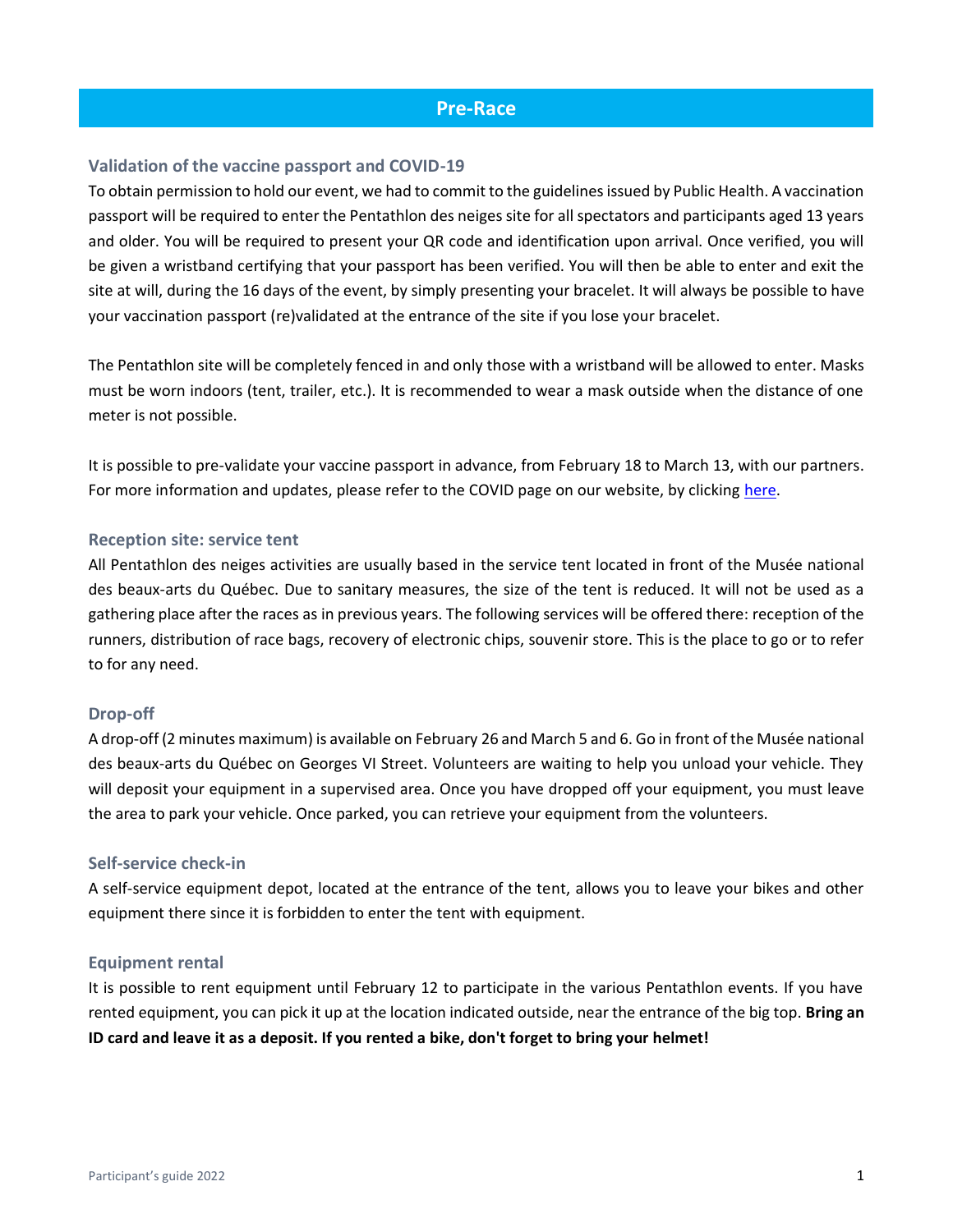#### **Pre-Race**

#### <span id="page-2-1"></span><span id="page-2-0"></span>**Validation of the vaccine passport and COVID-19**

To obtain permission to hold our event, we had to commit to the guidelines issued by Public Health. A vaccination passport will be required to enter the Pentathlon des neiges site for all spectators and participants aged 13 years and older. You will be required to present your QR code and identification upon arrival. Once verified, you will be given a wristband certifying that your passport has been verified. You will then be able to enter and exit the site at will, during the 16 days of the event, by simply presenting your bracelet. It will always be possible to have your vaccination passport (re)validated at the entrance of the site if you lose your bracelet.

The Pentathlon site will be completely fenced in and only those with a wristband will be allowed to enter. Masks must be worn indoors (tent, trailer, etc.). It is recommended to wear a mask outside when the distance of one meter is not possible.

It is possible to pre-validate your vaccine passport in advance, from February 18 to March 13, with our partners. For more information and updates, please refer to the COVID page on our website, by clicking [here.](https://www.pentathlondesneiges.com/en/covid/)

#### <span id="page-2-2"></span>**Reception site: service tent**

All Pentathlon des neiges activities are usually based in the service tent located in front of the Musée national des beaux-arts du Québec. Due to sanitary measures, the size of the tent is reduced. It will not be used as a gathering place after the races as in previous years. The following services will be offered there: reception of the runners, distribution of race bags, recovery of electronic chips, souvenir store. This is the place to go or to refer to for any need.

#### <span id="page-2-3"></span>**Drop-off**

A drop-off (2 minutes maximum) is available on February 26 and March 5 and 6. Go in front of the Musée national des beaux-arts du Québec on Georges VI Street. Volunteers are waiting to help you unload your vehicle. They will deposit your equipment in a supervised area. Once you have dropped off your equipment, you must leave the area to park your vehicle. Once parked, you can retrieve your equipment from the volunteers.

#### <span id="page-2-4"></span>**Self-service check-in**

A self-service equipment depot, located at the entrance of the tent, allows you to leave your bikes and other equipment there since it is forbidden to enter the tent with equipment.

#### <span id="page-2-5"></span>**Equipment rental**

It is possible to rent equipment until February 12 to participate in the various Pentathlon events. If you have rented equipment, you can pick it up at the location indicated outside, near the entrance of the big top. **Bring an ID card and leave it as a deposit. If you rented a bike, don't forget to bring your helmet!**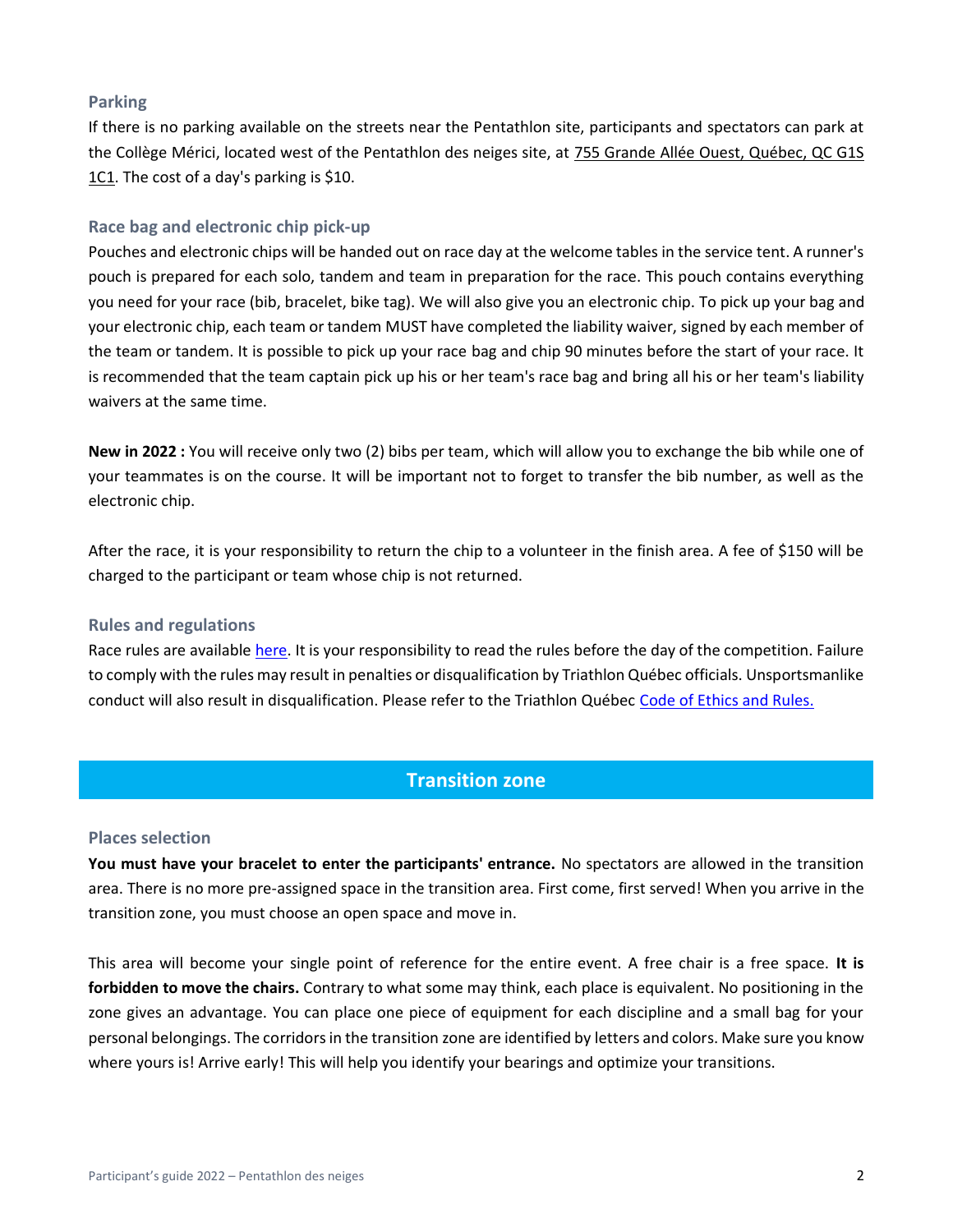#### <span id="page-3-0"></span>**Parking**

If there is no parking available on the streets near the Pentathlon site, participants and spectators can park at the Collège Mérici, located west of the Pentathlon des neiges site, at 755 Grande Allée Ouest, Québec, QC G1S 1C1. The cost of a day's parking is \$10.

#### <span id="page-3-1"></span>**Race bag and electronic chip pick-up**

Pouches and electronic chips will be handed out on race day at the welcome tables in the service tent. A runner's pouch is prepared for each solo, tandem and team in preparation for the race. This pouch contains everything you need for your race (bib, bracelet, bike tag). We will also give you an electronic chip. To pick up your bag and your electronic chip, each team or tandem MUST have completed the liability waiver, signed by each member of the team or tandem. It is possible to pick up your race bag and chip 90 minutes before the start of your race. It is recommended that the team captain pick up his or her team's race bag and bring all his or her team's liability waivers at the same time.

**New in 2022 :** You will receive only two (2) bibs per team, which will allow you to exchange the bib while one of your teammates is on the course. It will be important not to forget to transfer the bib number, as well as the electronic chip.

After the race, it is your responsibility to return the chip to a volunteer in the finish area. A fee of \$150 will be charged to the participant or team whose chip is not returned.

#### <span id="page-3-2"></span>**Rules and regulations**

Race rules are availabl[e here.](https://www.pentathlondesneiges.com/wp-content/uploads/2021/10/2021-11-26_EN_Re%CC%80glements_PDN-2022.pdf) It is your responsibility to read the rules before the day of the competition. Failure to comply with the rules may result in penalties or disqualification by Triathlon Québec officials. Unsportsmanlike conduct will also result in disqualification. Please refer to the Triathlon Québec [Code of Ethics and Rules.](https://www.triathlonquebec.org/officiels/reglements/)

# **Transition zone**

#### <span id="page-3-4"></span><span id="page-3-3"></span>**Places selection**

**You must have your bracelet to enter the participants' entrance.** No spectators are allowed in the transition area. There is no more pre-assigned space in the transition area. First come, first served! When you arrive in the transition zone, you must choose an open space and move in.

This area will become your single point of reference for the entire event. A free chair is a free space. **It is forbidden to move the chairs.** Contrary to what some may think, each place is equivalent. No positioning in the zone gives an advantage. You can place one piece of equipment for each discipline and a small bag for your personal belongings. The corridors in the transition zone are identified by letters and colors. Make sure you know where yours is! Arrive early! This will help you identify your bearings and optimize your transitions.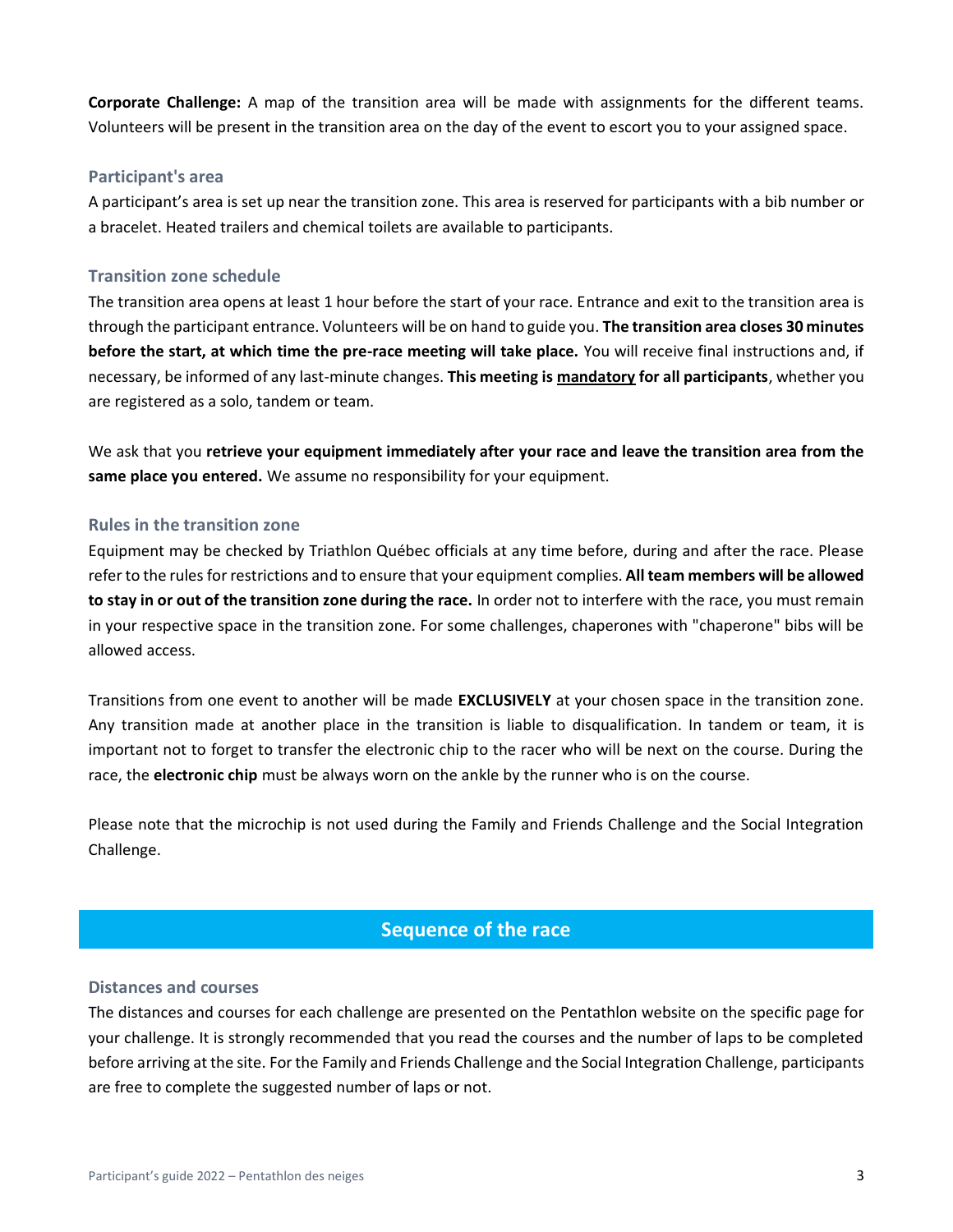**Corporate Challenge:** A map of the transition area will be made with assignments for the different teams. Volunteers will be present in the transition area on the day of the event to escort you to your assigned space.

#### <span id="page-4-0"></span>**Participant's area**

A participant's area is set up near the transition zone. This area is reserved for participants with a bib number or a bracelet. Heated trailers and chemical toilets are available to participants.

#### <span id="page-4-1"></span>**Transition zone schedule**

The transition area opens at least 1 hour before the start of your race. Entrance and exit to the transition area is through the participant entrance. Volunteers will be on hand to guide you. **The transition area closes 30 minutes before the start, at which time the pre-race meeting will take place.** You will receive final instructions and, if necessary, be informed of any last-minute changes. **This meeting is mandatory for all participants**, whether you are registered as a solo, tandem or team.

We ask that you **retrieve your equipment immediately after your race and leave the transition area from the same place you entered.** We assume no responsibility for your equipment.

#### <span id="page-4-2"></span>**Rules in the transition zone**

Equipment may be checked by Triathlon Québec officials at any time before, during and after the race. Please refer to the rules for restrictions and to ensure that your equipment complies. **All team members will be allowed to stay in or out of the transition zone during the race.** In order not to interfere with the race, you must remain in your respective space in the transition zone. For some challenges, chaperones with "chaperone" bibs will be allowed access.

Transitions from one event to another will be made **EXCLUSIVELY** at your chosen space in the transition zone. Any transition made at another place in the transition is liable to disqualification. In tandem or team, it is important not to forget to transfer the electronic chip to the racer who will be next on the course. During the race, the **electronic chip** must be always worn on the ankle by the runner who is on the course.

Please note that the microchip is not used during the Family and Friends Challenge and the Social Integration Challenge.

# **Sequence of the race**

#### <span id="page-4-4"></span><span id="page-4-3"></span>**Distances and courses**

The distances and courses for each challenge are presented on the Pentathlon website on the specific page for your challenge. It is strongly recommended that you read the courses and the number of laps to be completed before arriving at the site. For the Family and Friends Challenge and the Social Integration Challenge, participants are free to complete the suggested number of laps or not.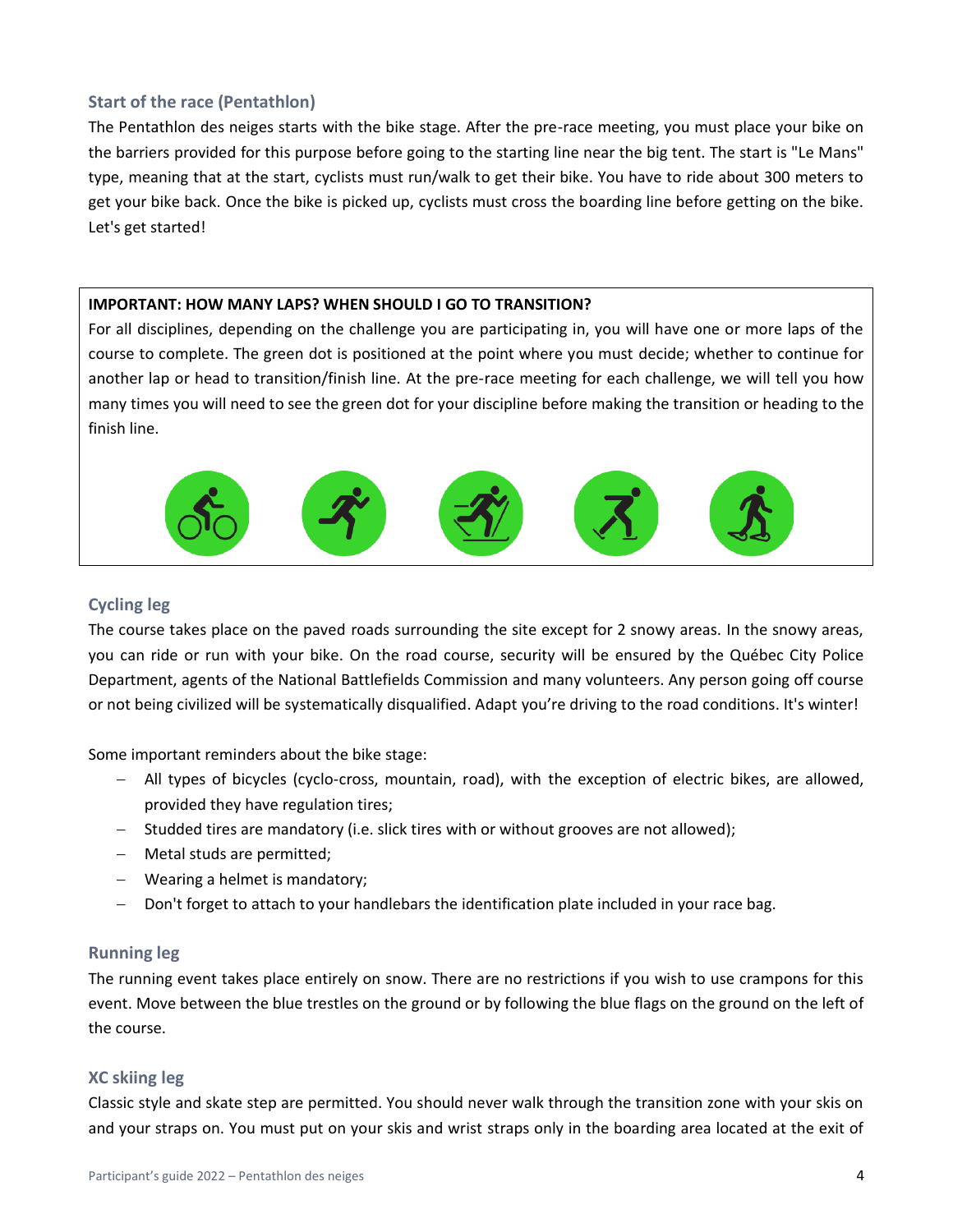#### <span id="page-5-0"></span>**Start of the race (Pentathlon)**

The Pentathlon des neiges starts with the bike stage. After the pre-race meeting, you must place your bike on the barriers provided for this purpose before going to the starting line near the big tent. The start is "Le Mans" type, meaning that at the start, cyclists must run/walk to get their bike. You have to ride about 300 meters to get your bike back. Once the bike is picked up, cyclists must cross the boarding line before getting on the bike. Let's get started!

#### **IMPORTANT: HOW MANY LAPS? WHEN SHOULD I GO TO TRANSITION?**

For all disciplines, depending on the challenge you are participating in, you will have one or more laps of the course to complete. The green dot is positioned at the point where you must decide; whether to continue for another lap or head to transition/finish line. At the pre-race meeting for each challenge, we will tell you how many times you will need to see the green dot for your discipline before making the transition or heading to the finish line.



#### <span id="page-5-1"></span>**Cycling leg**

The course takes place on the paved roads surrounding the site except for 2 snowy areas. In the snowy areas, you can ride or run with your bike. On the road course, security will be ensured by the Québec City Police Department, agents of the National Battlefields Commission and many volunteers. Any person going off course or not being civilized will be systematically disqualified. Adapt you're driving to the road conditions. It's winter!

Some important reminders about the bike stage:

- − All types of bicycles (cyclo-cross, mountain, road), with the exception of electric bikes, are allowed, provided they have regulation tires;
- − Studded tires are mandatory (i.e. slick tires with or without grooves are not allowed);
- − Metal studs are permitted;
- − Wearing a helmet is mandatory;
- − Don't forget to attach to your handlebars the identification plate included in your race bag.

#### <span id="page-5-2"></span>**Running leg**

<span id="page-5-3"></span>The running event takes place entirely on snow. There are no restrictions if you wish to use crampons for this event. Move between the blue trestles on the ground or by following the blue flags on the ground on the left of the course.

#### **XC skiing leg**

Classic style and skate step are permitted. You should never walk through the transition zone with your skis on and your straps on. You must put on your skis and wrist straps only in the boarding area located at the exit of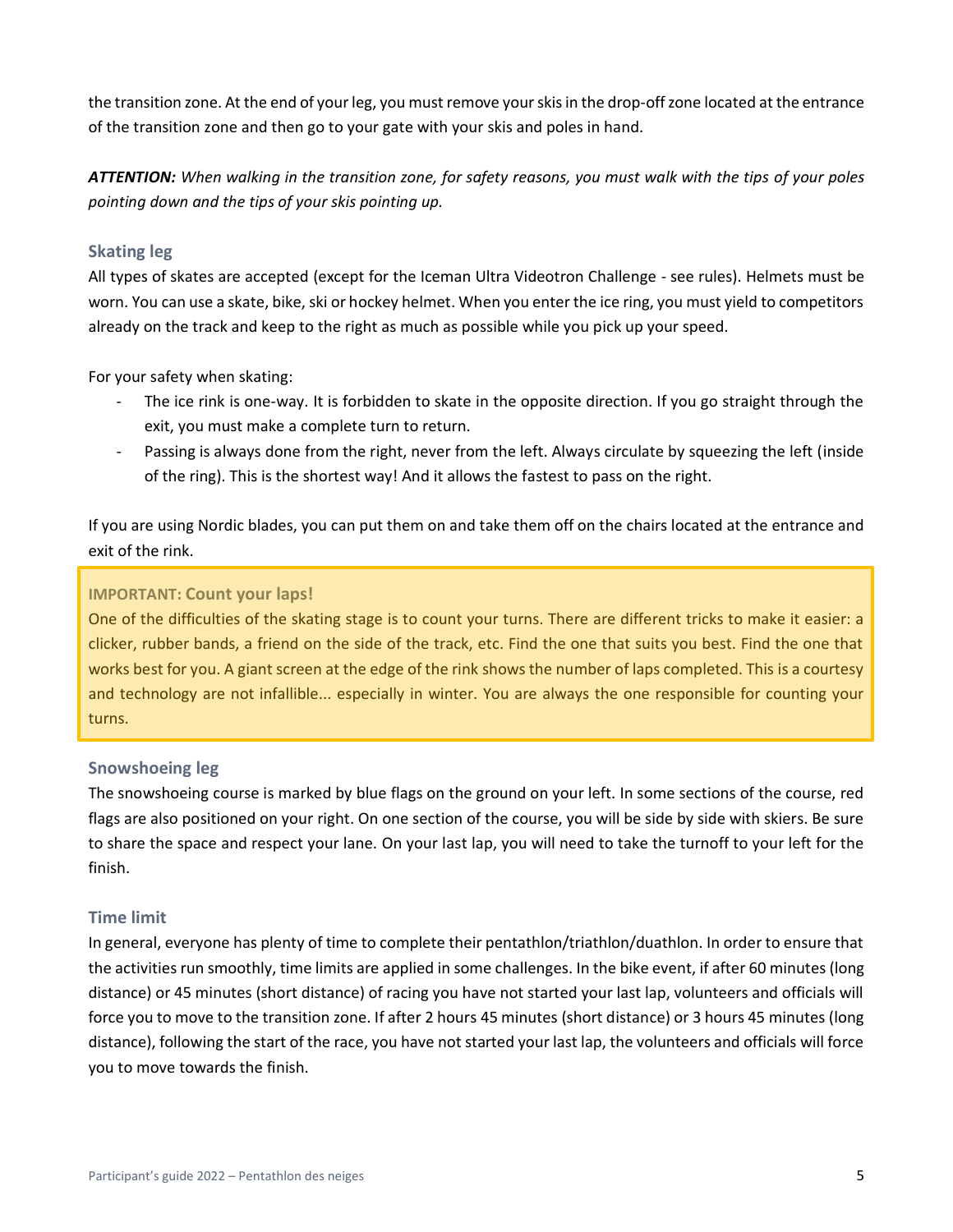the transition zone. At the end of your leg, you must remove your skis in the drop-off zone located at the entrance of the transition zone and then go to your gate with your skis and poles in hand.

*ATTENTION: When walking in the transition zone, for safety reasons, you must walk with the tips of your poles pointing down and the tips of your skis pointing up.*

#### <span id="page-6-0"></span>**Skating leg**

All types of skates are accepted (except for the Iceman Ultra Videotron Challenge - see rules). Helmets must be worn. You can use a skate, bike, ski or hockey helmet. When you enter the ice ring, you must yield to competitors already on the track and keep to the right as much as possible while you pick up your speed.

For your safety when skating:

- The ice rink is one-way. It is forbidden to skate in the opposite direction. If you go straight through the exit, you must make a complete turn to return.
- Passing is always done from the right, never from the left. Always circulate by squeezing the left (inside of the ring). This is the shortest way! And it allows the fastest to pass on the right.

If you are using Nordic blades, you can put them on and take them off on the chairs located at the entrance and exit of the rink.

#### **IMPORTANT: Count your laps!**

One of the difficulties of the skating stage is to count your turns. There are different tricks to make it easier: a clicker, rubber bands, a friend on the side of the track, etc. Find the one that suits you best. Find the one that works best for you. A giant screen at the edge of the rink shows the number of laps completed. This is a courtesy and technology are not infallible... especially in winter. You are always the one responsible for counting your turns.

#### <span id="page-6-1"></span>**Snowshoeing leg**

The snowshoeing course is marked by blue flags on the ground on your left. In some sections of the course, red flags are also positioned on your right. On one section of the course, you will be side by side with skiers. Be sure to share the space and respect your lane. On your last lap, you will need to take the turnoff to your left for the finish.

#### <span id="page-6-2"></span>**Time limit**

In general, everyone has plenty of time to complete their pentathlon/triathlon/duathlon. In order to ensure that the activities run smoothly, time limits are applied in some challenges. In the bike event, if after 60 minutes (long distance) or 45 minutes (short distance) of racing you have not started your last lap, volunteers and officials will force you to move to the transition zone. If after 2 hours 45 minutes (short distance) or 3 hours 45 minutes (long distance), following the start of the race, you have not started your last lap, the volunteers and officials will force you to move towards the finish.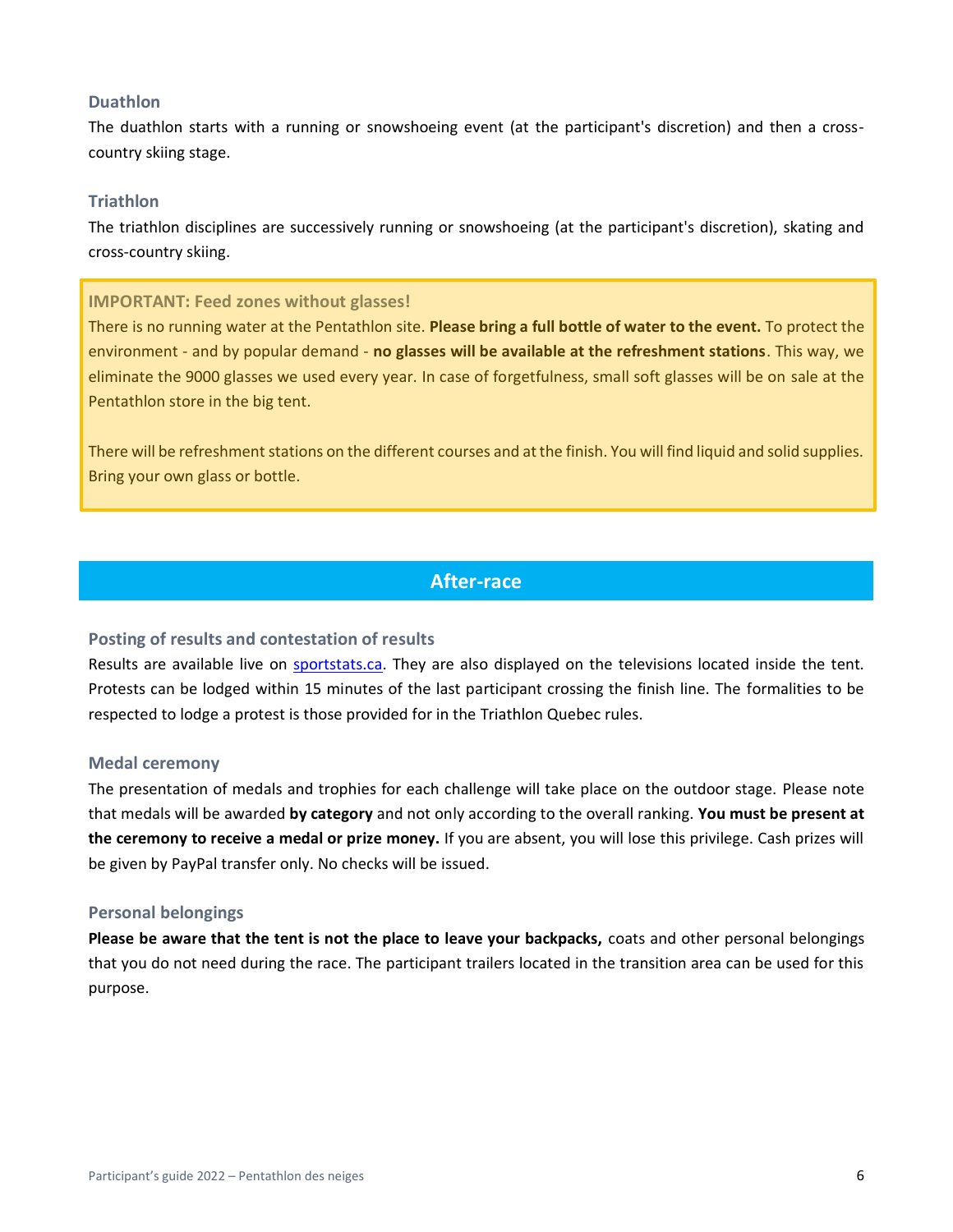#### <span id="page-7-0"></span>**Duathlon**

<span id="page-7-1"></span>The duathlon starts with a running or snowshoeing event (at the participant's discretion) and then a crosscountry skiing stage.

#### **Triathlon**

<span id="page-7-2"></span>The triathlon disciplines are successively running or snowshoeing (at the participant's discretion), skating and cross-country skiing.

#### **IMPORTANT: Feed zones without glasses!**

There is no running water at the Pentathlon site. **Please bring a full bottle of water to the event.** To protect the environment - and by popular demand - **no glasses will be available at the refreshment stations**. This way, we eliminate the 9000 glasses we used every year. In case of forgetfulness, small soft glasses will be on sale at the Pentathlon store in the big tent.

There will be refreshment stations on the different courses and at the finish. You will find liquid and solid supplies. Bring your own glass or bottle.

# **After-race**

#### <span id="page-7-4"></span><span id="page-7-3"></span>**Posting of results and contestation of results**

Results are available live on [sportstats.ca.](https://www.sportstats.ca/) They are also displayed on the televisions located inside the tent. Protests can be lodged within 15 minutes of the last participant crossing the finish line. The formalities to be respected to lodge a protest is those provided for in the Triathlon Quebec rules.

#### <span id="page-7-5"></span>**Medal ceremony**

The presentation of medals and trophies for each challenge will take place on the outdoor stage. Please note that medals will be awarded **by category** and not only according to the overall ranking. **You must be present at the ceremony to receive a medal or prize money.** If you are absent, you will lose this privilege. Cash prizes will be given by PayPal transfer only. No checks will be issued.

#### <span id="page-7-6"></span>**Personal belongings**

**Please be aware that the tent is not the place to leave your backpacks,** coats and other personal belongings that you do not need during the race. The participant trailers located in the transition area can be used for this purpose.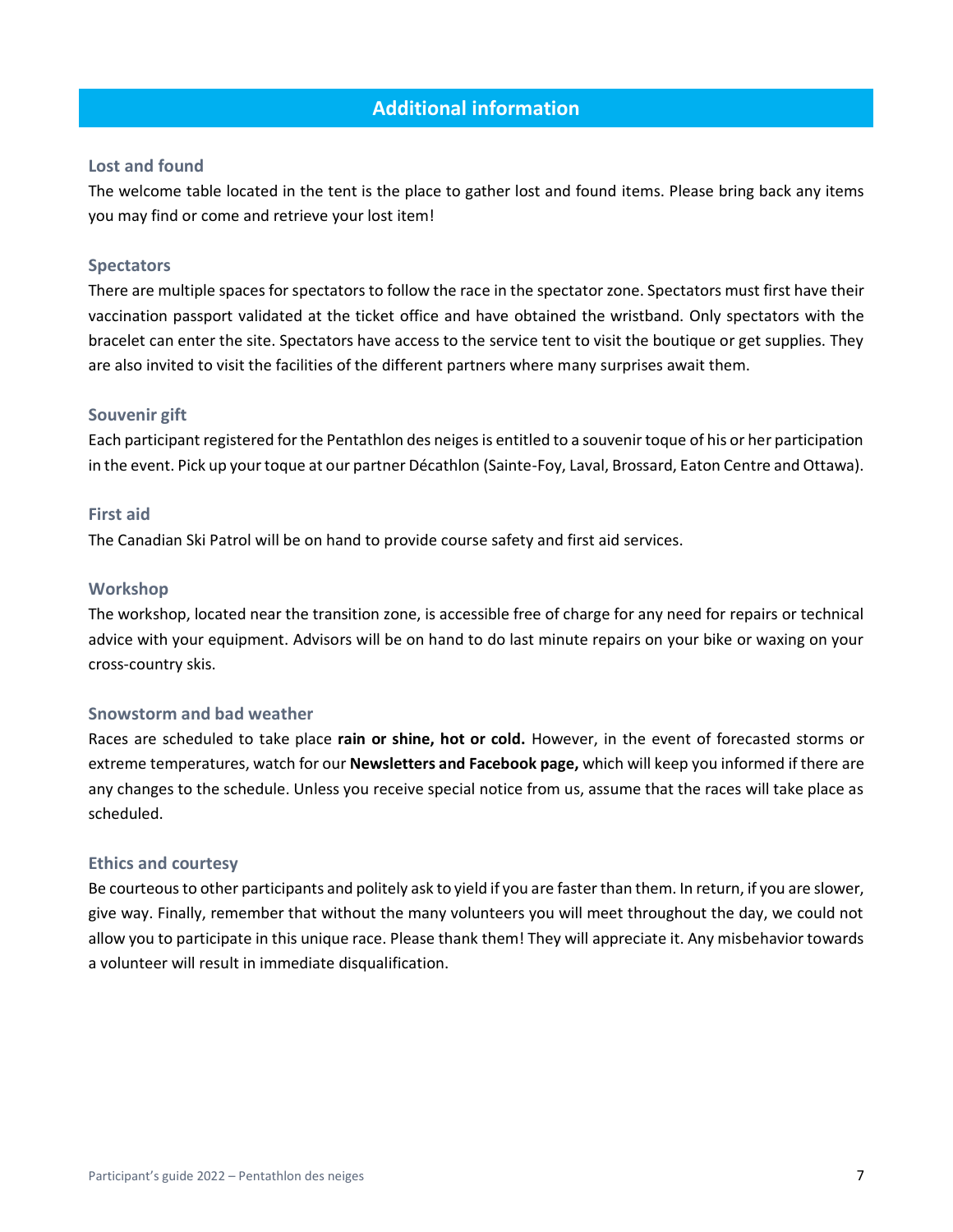# **Additional information**

#### <span id="page-8-1"></span><span id="page-8-0"></span>**Lost and found**

The welcome table located in the tent is the place to gather lost and found items. Please bring back any items you may find or come and retrieve your lost item!

#### <span id="page-8-2"></span>**Spectators**

There are multiple spaces for spectators to follow the race in the spectator zone. Spectators must first have their vaccination passport validated at the ticket office and have obtained the wristband. Only spectators with the bracelet can enter the site. Spectators have access to the service tent to visit the boutique or get supplies. They are also invited to visit the facilities of the different partners where many surprises await them.

#### <span id="page-8-3"></span>**Souvenir gift**

Each participant registered for the Pentathlon des neiges is entitled to a souvenir toque of his or her participation in the event. Pick up your toque at our partner Décathlon (Sainte-Foy, Laval, Brossard, Eaton Centre and Ottawa).

#### <span id="page-8-4"></span>**First aid**

<span id="page-8-5"></span>The Canadian Ski Patrol will be on hand to provide course safety and first aid services.

#### **Workshop**

The workshop, located near the transition zone, is accessible free of charge for any need for repairs or technical advice with your equipment. Advisors will be on hand to do last minute repairs on your bike or waxing on your cross-country skis.

#### <span id="page-8-6"></span>**Snowstorm and bad weather**

Races are scheduled to take place **rain or shine, hot or cold.** However, in the event of forecasted storms or extreme temperatures, watch for our **Newsletters and Facebook page,** which will keep you informed if there are any changes to the schedule. Unless you receive special notice from us, assume that the races will take place as scheduled.

#### <span id="page-8-7"></span>**Ethics and courtesy**

Be courteous to other participants and politely ask to yield if you are faster than them. In return, if you are slower, give way. Finally, remember that without the many volunteers you will meet throughout the day, we could not allow you to participate in this unique race. Please thank them! They will appreciate it. Any misbehavior towards a volunteer will result in immediate disqualification.